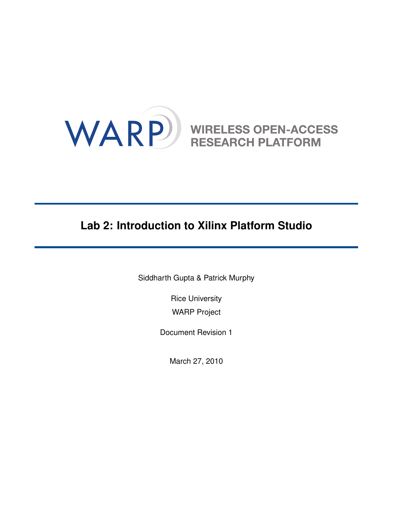

# **Lab 2: Introduction to Xilinx Platform Studio**

Siddharth Gupta & Patrick Murphy

Rice University WARP Project

Document Revision 1

March 27, 2010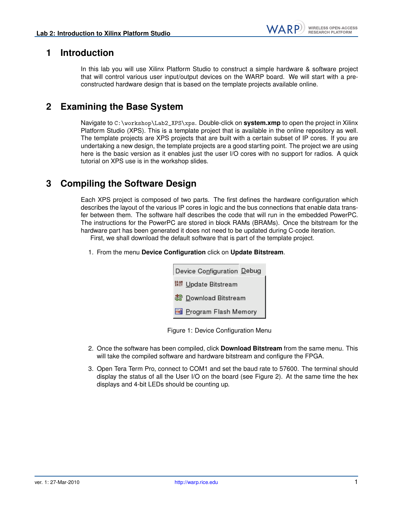### **1 Introduction**

In this lab you will use Xilinx Platform Studio to construct a simple hardware & software project that will control various user input/output devices on the WARP board. We will start with a preconstructed hardware design that is based on the template projects available online.

## **2 Examining the Base System**

Navigate to C:\workshop\Lab2\_XPS\xps. Double-click on **system.xmp** to open the project in Xilinx Platform Studio (XPS). This is a template project that is available in the online repository as well. The template projects are XPS projects that are built with a certain subset of IP cores. If you are undertaking a new design, the template projects are a good starting point. The project we are using here is the basic version as it enables just the user I/O cores with no support for radios. A quick tutorial on XPS use is in the workshop slides.

### **3 Compiling the Software Design**

Each XPS project is composed of two parts. The first defines the hardware configuration which describes the layout of the various IP cores in logic and the bus connections that enable data transfer between them. The software half describes the code that will run in the embedded PowerPC. The instructions for the PowerPC are stored in block RAMs (BRAMs). Once the bitstream for the hardware part has been generated it does not need to be updated during C-code iteration. First, we shall download the default software that is part of the template project.

1. From the menu **Device Configuration** click on **Update Bitstream**.

| Device Configuration Debug     |
|--------------------------------|
| <b>III Update Bitstream</b>    |
| 器 Download Bitstream           |
| <b>Ed</b> Program Flash Memory |

Figure 1: Device Configuration Menu

- 2. Once the software has been compiled, click **Download Bitstream** from the same menu. This will take the compiled software and hardware bitstream and configure the FPGA.
- 3. Open Tera Term Pro, connect to COM1 and set the baud rate to 57600. The terminal should display the status of all the User I/O on the board (see Figure [2\)](#page-2-0). At the same time the hex displays and 4-bit LEDs should be counting up.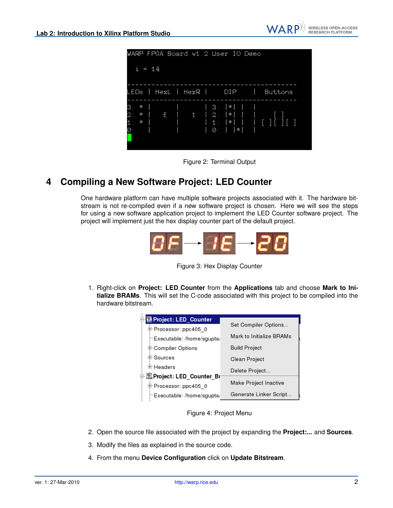

<span id="page-2-0"></span>

#### **4 Compiling a New Software Project: LED Counter**

One hardware platform can have multiple software projects associated with it. The hardware bitstream is not re-compiled even if a new software project is chosen. Here we will see the steps for using a new software application project to implement the LED Counter software project. The project will implement just the hex display counter part of the default project.





1. Right-click on **Project: LED Counter** from the **Applications** tab and choose **Mark to Initialize BRAMs**. This will set the C-code associated with this project to be compiled into the hardware bitstream.

| 中 Me Project: LED_Counter   |                          |
|-----------------------------|--------------------------|
| 中 Processor: ppc405 0       | Set Compiler Options     |
| Executable: /home/sgupta/   | Mark to Initialize BRAMs |
| 中 Compiler Options          | <b>Build Project</b>     |
| ⊕ Sources                   | Clean Project            |
| 田·Headers                   | Delete Project           |
| D MaProject: LED_Counter_Bi |                          |
|                             | Make Project Inactive    |
| 中 Processor: ppc405_0       |                          |
| Executable: /home/sgupta/   | Generate Linker Script   |

Figure 4: Project Menu

- 2. Open the source file associated with the project by expanding the **Project:...** and **Sources**.
- 3. Modify the files as explained in the source code.
- 4. From the menu **Device Configuration** click on **Update Bitstream**.

**WIRELESS OPEN-ACCESS** RESEARCH PLATFORM